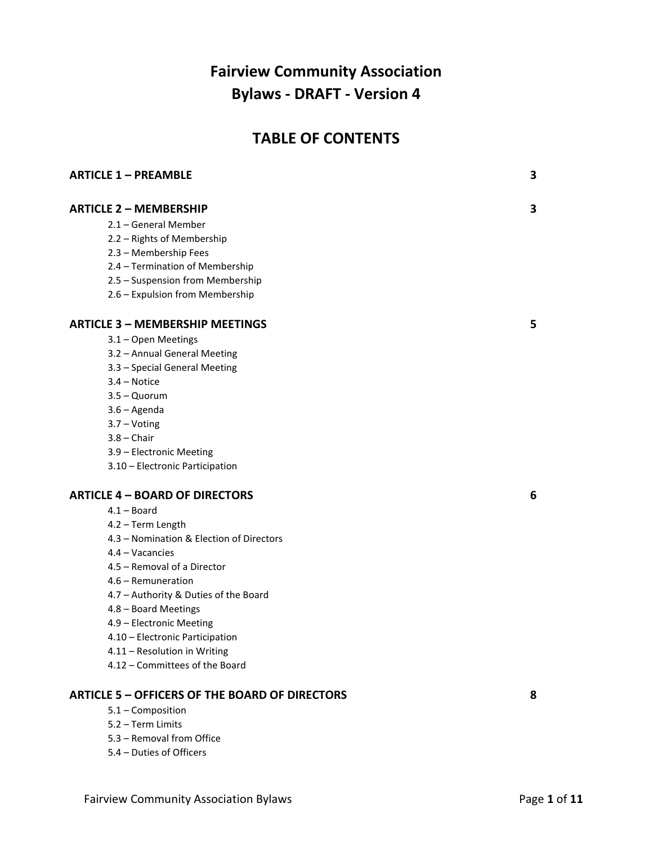# **Fairview Community Association Bylaws - DRAFT - Version 4**

## **TABLE OF CONTENTS**

| <b>ARTICLE 1 - PREAMBLE</b>                           | 3 |
|-------------------------------------------------------|---|
| <b>ARTICLE 2 - MEMBERSHIP</b>                         | 3 |
| 2.1 - General Member                                  |   |
| 2.2 - Rights of Membership                            |   |
| 2.3 - Membership Fees                                 |   |
| 2.4 - Termination of Membership                       |   |
| 2.5 - Suspension from Membership                      |   |
| 2.6 - Expulsion from Membership                       |   |
| <b>ARTICLE 3 - MEMBERSHIP MEETINGS</b>                | 5 |
| 3.1 - Open Meetings                                   |   |
| 3.2 - Annual General Meeting                          |   |
| 3.3 - Special General Meeting                         |   |
| $3.4 - Notice$                                        |   |
| $3.5 -$ Quorum                                        |   |
| $3.6 - Agenda$                                        |   |
| $3.7 - Voting$                                        |   |
| $3.8 -$ Chair                                         |   |
| 3.9 - Electronic Meeting                              |   |
| 3.10 - Electronic Participation                       |   |
| <b>ARTICLE 4 - BOARD OF DIRECTORS</b>                 | 6 |
| $4.1 -$ Board                                         |   |
| 4.2 - Term Length                                     |   |
| 4.3 - Nomination & Election of Directors              |   |
| $4.4 - Vacancies$                                     |   |
| 4.5 – Removal of a Director                           |   |
| 4.6 - Remuneration                                    |   |
| 4.7 - Authority & Duties of the Board                 |   |
| 4.8 - Board Meetings                                  |   |
| 4.9 - Electronic Meeting                              |   |
| 4.10 - Electronic Participation                       |   |
| 4.11 - Resolution in Writing                          |   |
| 4.12 - Committees of the Board                        |   |
| <b>ARTICLE 5 - OFFICERS OF THE BOARD OF DIRECTORS</b> | 8 |
| 5.1 - Composition                                     |   |
| 5.2 - Term Limits                                     |   |
| 5.3 - Removal from Office                             |   |
| 5.4 - Duties of Officers                              |   |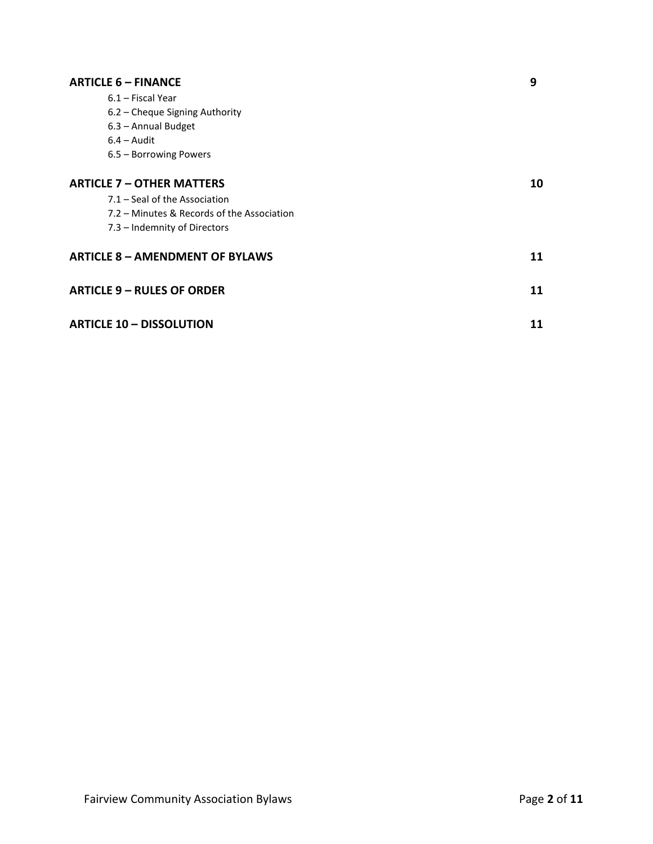| <b>ARTICLE 6 - FINANCE</b>                 | 9  |
|--------------------------------------------|----|
| 6.1 – Fiscal Year                          |    |
| 6.2 - Cheque Signing Authority             |    |
| 6.3 - Annual Budget                        |    |
| $6.4 -$ Audit                              |    |
| 6.5 - Borrowing Powers                     |    |
| <b>ARTICLE 7 - OTHER MATTERS</b>           | 10 |
| 7.1 – Seal of the Association              |    |
| 7.2 – Minutes & Records of the Association |    |
| 7.3 - Indemnity of Directors               |    |
| <b>ARTICLE 8 - AMENDMENT OF BYLAWS</b>     | 11 |
| <b>ARTICLE 9 - RULES OF ORDER</b>          | 11 |
| <b>ARTICLE 10 - DISSOLUTION</b>            | 11 |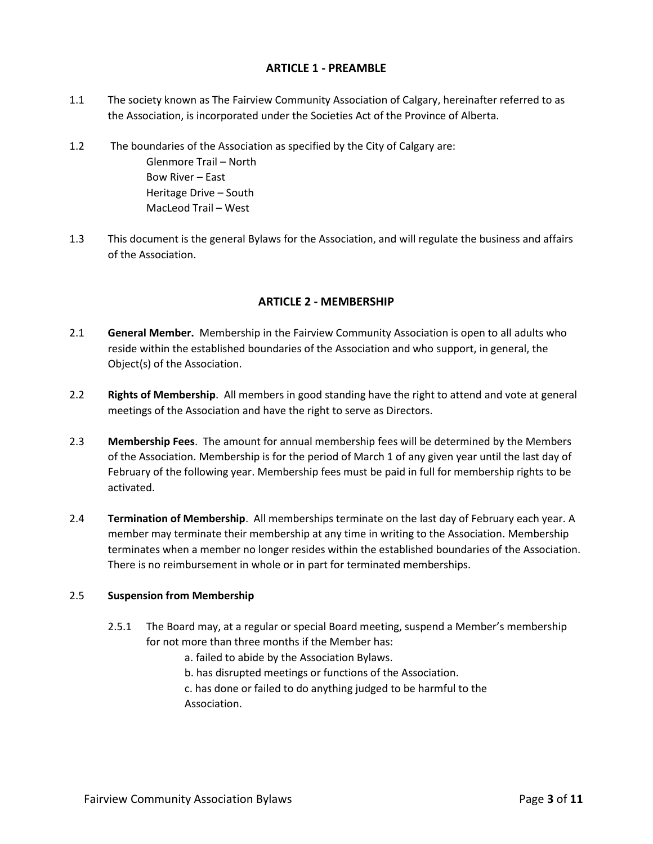#### **ARTICLE 1 - PREAMBLE**

- 1.1 The society known as The Fairview Community Association of Calgary, hereinafter referred to as the Association, is incorporated under the Societies Act of the Province of Alberta.
- 1.2 The boundaries of the Association as specified by the City of Calgary are:

Glenmore Trail – North Bow River – East Heritage Drive – South MacLeod Trail – West

1.3 This document is the general Bylaws for the Association, and will regulate the business and affairs of the Association.

## **ARTICLE 2 - MEMBERSHIP**

- 2.1 **General Member.** Membership in the Fairview Community Association is open to all adults who reside within the established boundaries of the Association and who support, in general, the Object(s) of the Association.
- 2.2 **Rights of Membership**. All members in good standing have the right to attend and vote at general meetings of the Association and have the right to serve as Directors.
- 2.3 **Membership Fees**. The amount for annual membership fees will be determined by the Members of the Association. Membership is for the period of March 1 of any given year until the last day of February of the following year. Membership fees must be paid in full for membership rights to be activated.
- 2.4 **Termination of Membership**. All memberships terminate on the last day of February each year. A member may terminate their membership at any time in writing to the Association. Membership terminates when a member no longer resides within the established boundaries of the Association. There is no reimbursement in whole or in part for terminated memberships.

## 2.5 **Suspension from Membership**

- 2.5.1 The Board may, at a regular or special Board meeting, suspend a Member's membership for not more than three months if the Member has:
	- a. failed to abide by the Association Bylaws.
	- b. has disrupted meetings or functions of the Association.

c. has done or failed to do anything judged to be harmful to the Association.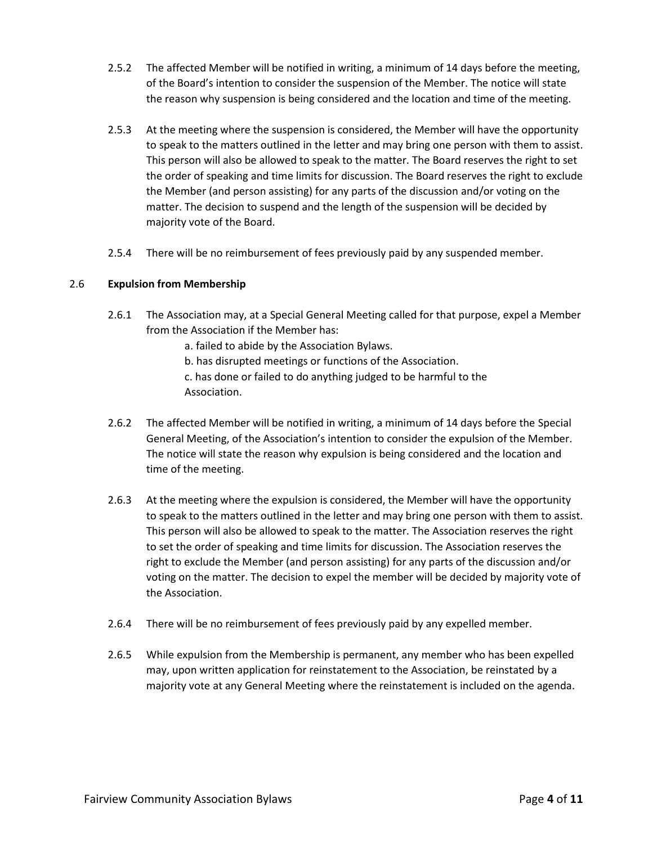- 2.5.2 The affected Member will be notified in writing, a minimum of 14 days before the meeting, of the Board's intention to consider the suspension of the Member. The notice will state the reason why suspension is being considered and the location and time of the meeting.
- 2.5.3 At the meeting where the suspension is considered, the Member will have the opportunity to speak to the matters outlined in the letter and may bring one person with them to assist. This person will also be allowed to speak to the matter. The Board reserves the right to set the order of speaking and time limits for discussion. The Board reserves the right to exclude the Member (and person assisting) for any parts of the discussion and/or voting on the matter. The decision to suspend and the length of the suspension will be decided by majority vote of the Board.
- 2.5.4 There will be no reimbursement of fees previously paid by any suspended member.

#### 2.6 **Expulsion from Membership**

- 2.6.1 The Association may, at a Special General Meeting called for that purpose, expel a Member from the Association if the Member has:
	- a. failed to abide by the Association Bylaws.
	- b. has disrupted meetings or functions of the Association.
	- c. has done or failed to do anything judged to be harmful to the Association.
- 2.6.2 The affected Member will be notified in writing, a minimum of 14 days before the Special General Meeting, of the Association's intention to consider the expulsion of the Member. The notice will state the reason why expulsion is being considered and the location and time of the meeting.
- 2.6.3 At the meeting where the expulsion is considered, the Member will have the opportunity to speak to the matters outlined in the letter and may bring one person with them to assist. This person will also be allowed to speak to the matter. The Association reserves the right to set the order of speaking and time limits for discussion. The Association reserves the right to exclude the Member (and person assisting) for any parts of the discussion and/or voting on the matter. The decision to expel the member will be decided by majority vote of the Association.
- 2.6.4 There will be no reimbursement of fees previously paid by any expelled member.
- 2.6.5 While expulsion from the Membership is permanent, any member who has been expelled may, upon written application for reinstatement to the Association, be reinstated by a majority vote at any General Meeting where the reinstatement is included on the agenda.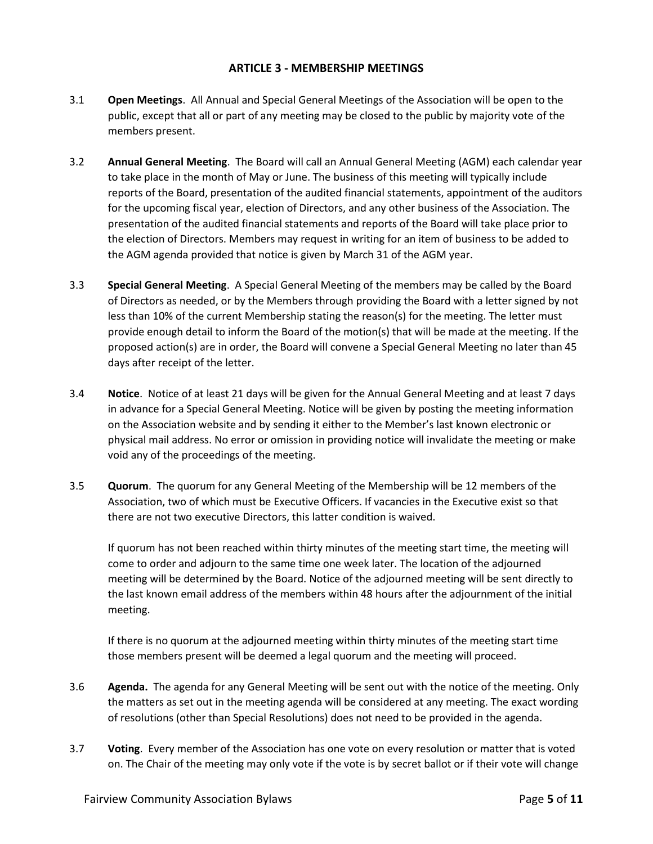#### **ARTICLE 3 - MEMBERSHIP MEETINGS**

- 3.1 **Open Meetings**. All Annual and Special General Meetings of the Association will be open to the public, except that all or part of any meeting may be closed to the public by majority vote of the members present.
- 3.2 **Annual General Meeting**. The Board will call an Annual General Meeting (AGM) each calendar year to take place in the month of May or June. The business of this meeting will typically include reports of the Board, presentation of the audited financial statements, appointment of the auditors for the upcoming fiscal year, election of Directors, and any other business of the Association. The presentation of the audited financial statements and reports of the Board will take place prior to the election of Directors. Members may request in writing for an item of business to be added to the AGM agenda provided that notice is given by March 31 of the AGM year.
- 3.3 **Special General Meeting**. A Special General Meeting of the members may be called by the Board of Directors as needed, or by the Members through providing the Board with a letter signed by not less than 10% of the current Membership stating the reason(s) for the meeting. The letter must provide enough detail to inform the Board of the motion(s) that will be made at the meeting. If the proposed action(s) are in order, the Board will convene a Special General Meeting no later than 45 days after receipt of the letter.
- 3.4 **Notice**. Notice of at least 21 days will be given for the Annual General Meeting and at least 7 days in advance for a Special General Meeting. Notice will be given by posting the meeting information on the Association website and by sending it either to the Member's last known electronic or physical mail address. No error or omission in providing notice will invalidate the meeting or make void any of the proceedings of the meeting.
- 3.5 **Quorum**. The quorum for any General Meeting of the Membership will be 12 members of the Association, two of which must be Executive Officers. If vacancies in the Executive exist so that there are not two executive Directors, this latter condition is waived.

If quorum has not been reached within thirty minutes of the meeting start time, the meeting will come to order and adjourn to the same time one week later. The location of the adjourned meeting will be determined by the Board. Notice of the adjourned meeting will be sent directly to the last known email address of the members within 48 hours after the adjournment of the initial meeting.

If there is no quorum at the adjourned meeting within thirty minutes of the meeting start time those members present will be deemed a legal quorum and the meeting will proceed.

- 3.6 **Agenda.** The agenda for any General Meeting will be sent out with the notice of the meeting. Only the matters as set out in the meeting agenda will be considered at any meeting. The exact wording of resolutions (other than Special Resolutions) does not need to be provided in the agenda.
- 3.7 **Voting**. Every member of the Association has one vote on every resolution or matter that is voted on. The Chair of the meeting may only vote if the vote is by secret ballot or if their vote will change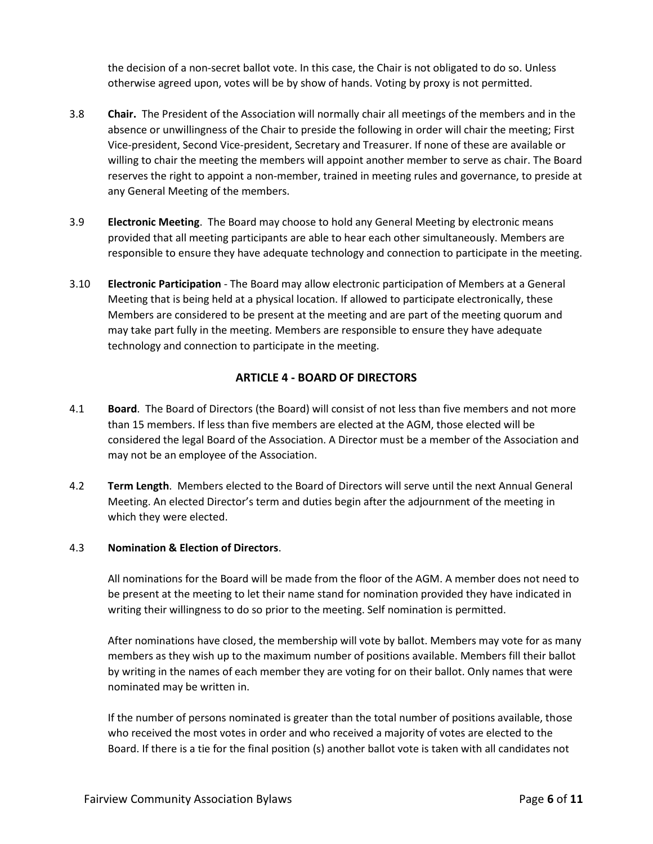the decision of a non-secret ballot vote. In this case, the Chair is not obligated to do so. Unless otherwise agreed upon, votes will be by show of hands. Voting by proxy is not permitted.

- 3.8 **Chair.** The President of the Association will normally chair all meetings of the members and in the absence or unwillingness of the Chair to preside the following in order will chair the meeting; First Vice-president, Second Vice-president, Secretary and Treasurer. If none of these are available or willing to chair the meeting the members will appoint another member to serve as chair. The Board reserves the right to appoint a non-member, trained in meeting rules and governance, to preside at any General Meeting of the members.
- 3.9 **Electronic Meeting**. The Board may choose to hold any General Meeting by electronic means provided that all meeting participants are able to hear each other simultaneously. Members are responsible to ensure they have adequate technology and connection to participate in the meeting.
- 3.10 **Electronic Participation** The Board may allow electronic participation of Members at a General Meeting that is being held at a physical location. If allowed to participate electronically, these Members are considered to be present at the meeting and are part of the meeting quorum and may take part fully in the meeting. Members are responsible to ensure they have adequate technology and connection to participate in the meeting.

## **ARTICLE 4 - BOARD OF DIRECTORS**

- 4.1 **Board**. The Board of Directors (the Board) will consist of not less than five members and not more than 15 members. If less than five members are elected at the AGM, those elected will be considered the legal Board of the Association. A Director must be a member of the Association and may not be an employee of the Association.
- 4.2 **Term Length**. Members elected to the Board of Directors will serve until the next Annual General Meeting. An elected Director's term and duties begin after the adjournment of the meeting in which they were elected.

## 4.3 **Nomination & Election of Directors**.

All nominations for the Board will be made from the floor of the AGM. A member does not need to be present at the meeting to let their name stand for nomination provided they have indicated in writing their willingness to do so prior to the meeting. Self nomination is permitted.

After nominations have closed, the membership will vote by ballot. Members may vote for as many members as they wish up to the maximum number of positions available. Members fill their ballot by writing in the names of each member they are voting for on their ballot. Only names that were nominated may be written in.

If the number of persons nominated is greater than the total number of positions available, those who received the most votes in order and who received a majority of votes are elected to the Board. If there is a tie for the final position (s) another ballot vote is taken with all candidates not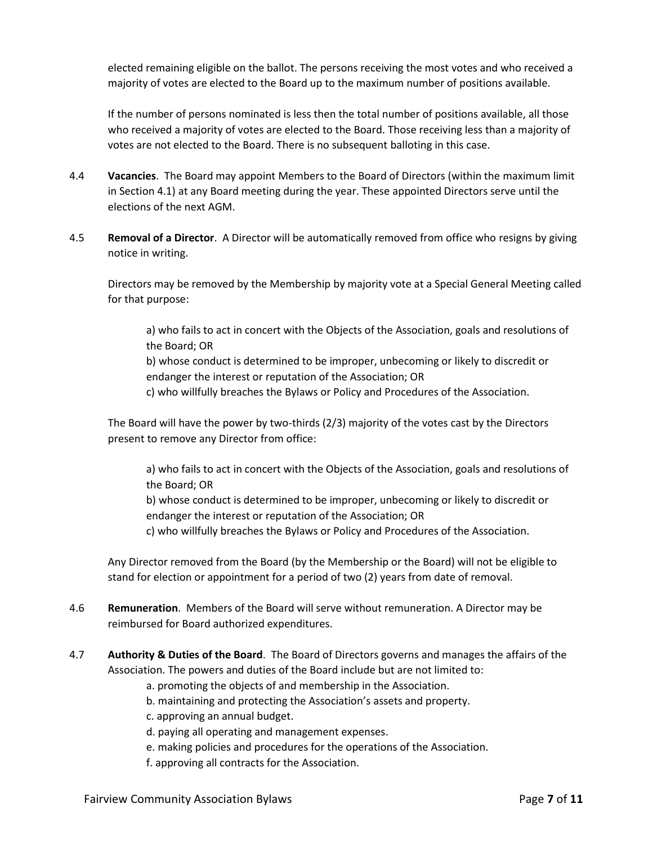elected remaining eligible on the ballot. The persons receiving the most votes and who received a majority of votes are elected to the Board up to the maximum number of positions available.

If the number of persons nominated is less then the total number of positions available, all those who received a majority of votes are elected to the Board. Those receiving less than a majority of votes are not elected to the Board. There is no subsequent balloting in this case.

- 4.4 **Vacancies**. The Board may appoint Members to the Board of Directors (within the maximum limit in Section 4.1) at any Board meeting during the year. These appointed Directors serve until the elections of the next AGM.
- 4.5 **Removal of a Director**. A Director will be automatically removed from office who resigns by giving notice in writing.

Directors may be removed by the Membership by majority vote at a Special General Meeting called for that purpose:

a) who fails to act in concert with the Objects of the Association, goals and resolutions of the Board; OR

b) whose conduct is determined to be improper, unbecoming or likely to discredit or endanger the interest or reputation of the Association; OR

c) who willfully breaches the Bylaws or Policy and Procedures of the Association.

The Board will have the power by two-thirds (2/3) majority of the votes cast by the Directors present to remove any Director from office:

a) who fails to act in concert with the Objects of the Association, goals and resolutions of the Board; OR

b) whose conduct is determined to be improper, unbecoming or likely to discredit or endanger the interest or reputation of the Association; OR

c) who willfully breaches the Bylaws or Policy and Procedures of the Association.

Any Director removed from the Board (by the Membership or the Board) will not be eligible to stand for election or appointment for a period of two (2) years from date of removal.

- 4.6 **Remuneration**. Members of the Board will serve without remuneration. A Director may be reimbursed for Board authorized expenditures.
- 4.7 **Authority & Duties of the Board**. The Board of Directors governs and manages the affairs of the Association. The powers and duties of the Board include but are not limited to:
	- a. promoting the objects of and membership in the Association.
	- b. maintaining and protecting the Association's assets and property.
	- c. approving an annual budget.
	- d. paying all operating and management expenses.
	- e. making policies and procedures for the operations of the Association.
	- f. approving all contracts for the Association.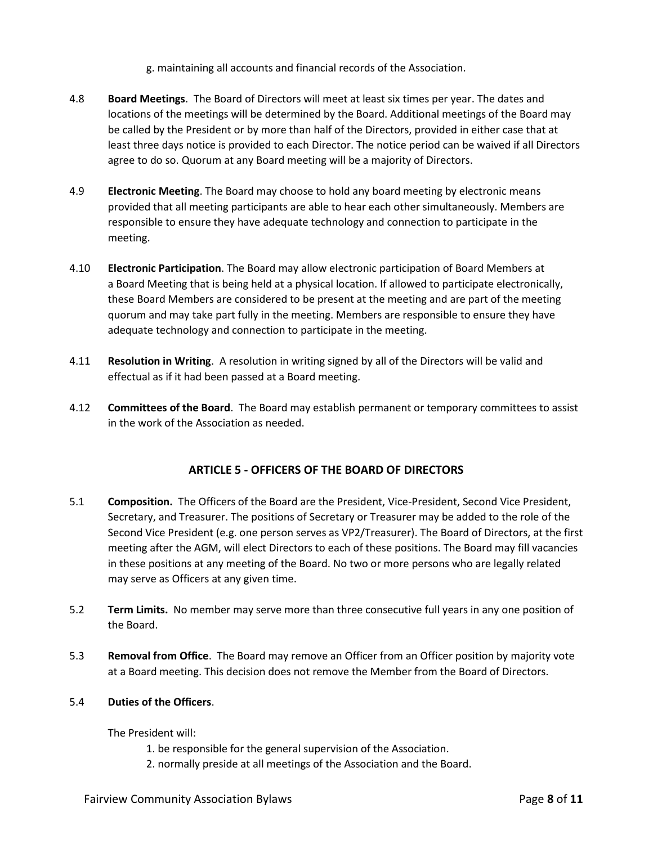g. maintaining all accounts and financial records of the Association.

- 4.8 **Board Meetings**. The Board of Directors will meet at least six times per year. The dates and locations of the meetings will be determined by the Board. Additional meetings of the Board may be called by the President or by more than half of the Directors, provided in either case that at least three days notice is provided to each Director. The notice period can be waived if all Directors agree to do so. Quorum at any Board meeting will be a majority of Directors.
- 4.9 **Electronic Meeting**. The Board may choose to hold any board meeting by electronic means provided that all meeting participants are able to hear each other simultaneously. Members are responsible to ensure they have adequate technology and connection to participate in the meeting.
- 4.10 **Electronic Participation**. The Board may allow electronic participation of Board Members at a Board Meeting that is being held at a physical location. If allowed to participate electronically, these Board Members are considered to be present at the meeting and are part of the meeting quorum and may take part fully in the meeting. Members are responsible to ensure they have adequate technology and connection to participate in the meeting.
- 4.11 **Resolution in Writing**. A resolution in writing signed by all of the Directors will be valid and effectual as if it had been passed at a Board meeting.
- 4.12 **Committees of the Board**. The Board may establish permanent or temporary committees to assist in the work of the Association as needed.

## **ARTICLE 5 - OFFICERS OF THE BOARD OF DIRECTORS**

- 5.1 **Composition.** The Officers of the Board are the President, Vice-President, Second Vice President, Secretary, and Treasurer. The positions of Secretary or Treasurer may be added to the role of the Second Vice President (e.g. one person serves as VP2/Treasurer). The Board of Directors, at the first meeting after the AGM, will elect Directors to each of these positions. The Board may fill vacancies in these positions at any meeting of the Board. No two or more persons who are legally related may serve as Officers at any given time.
- 5.2 **Term Limits.** No member may serve more than three consecutive full years in any one position of the Board.
- 5.3 **Removal from Office**. The Board may remove an Officer from an Officer position by majority vote at a Board meeting. This decision does not remove the Member from the Board of Directors.

#### 5.4 **Duties of the Officers**.

The President will:

- 1. be responsible for the general supervision of the Association.
- 2. normally preside at all meetings of the Association and the Board.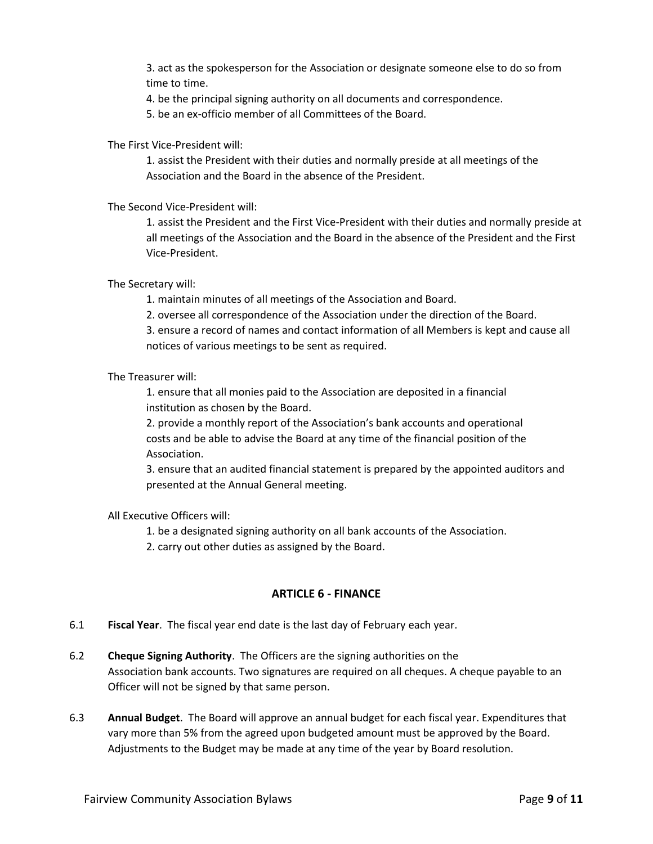3. act as the spokesperson for the Association or designate someone else to do so from time to time.

4. be the principal signing authority on all documents and correspondence.

5. be an ex-officio member of all Committees of the Board.

The First Vice-President will:

1. assist the President with their duties and normally preside at all meetings of the Association and the Board in the absence of the President.

The Second Vice-President will:

1. assist the President and the First Vice-President with their duties and normally preside at all meetings of the Association and the Board in the absence of the President and the First Vice-President.

The Secretary will:

1. maintain minutes of all meetings of the Association and Board.

2. oversee all correspondence of the Association under the direction of the Board.

3. ensure a record of names and contact information of all Members is kept and cause all notices of various meetings to be sent as required.

The Treasurer will:

1. ensure that all monies paid to the Association are deposited in a financial institution as chosen by the Board.

2. provide a monthly report of the Association's bank accounts and operational costs and be able to advise the Board at any time of the financial position of the Association.

3. ensure that an audited financial statement is prepared by the appointed auditors and presented at the Annual General meeting.

## All Executive Officers will:

1. be a designated signing authority on all bank accounts of the Association.

2. carry out other duties as assigned by the Board.

## **ARTICLE 6 - FINANCE**

- 6.1 **Fiscal Year**. The fiscal year end date is the last day of February each year.
- 6.2 **Cheque Signing Authority**. The Officers are the signing authorities on the Association bank accounts. Two signatures are required on all cheques. A cheque payable to an Officer will not be signed by that same person.
- 6.3 **Annual Budget**. The Board will approve an annual budget for each fiscal year. Expenditures that vary more than 5% from the agreed upon budgeted amount must be approved by the Board. Adjustments to the Budget may be made at any time of the year by Board resolution.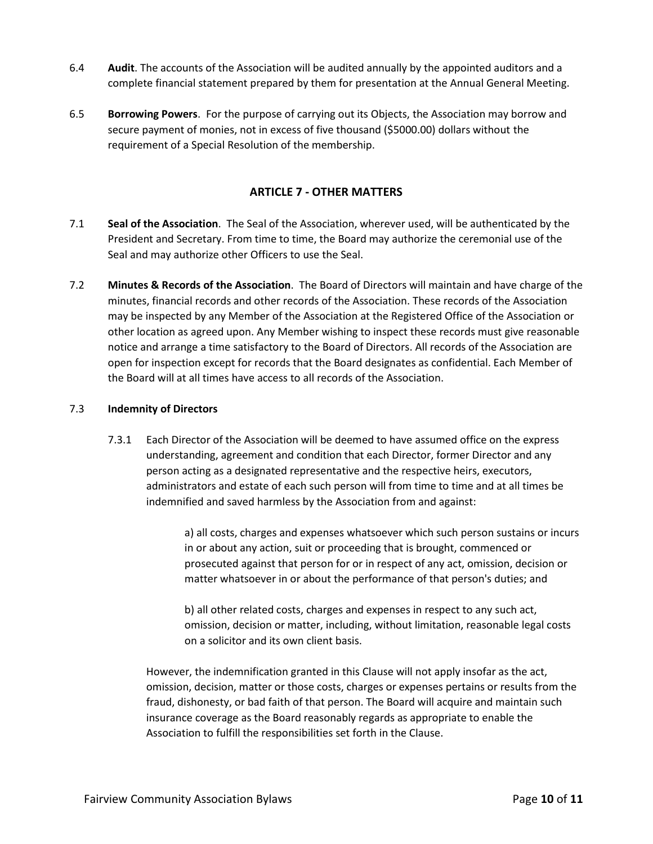- 6.4 **Audit**. The accounts of the Association will be audited annually by the appointed auditors and a complete financial statement prepared by them for presentation at the Annual General Meeting.
- 6.5 **Borrowing Powers**. For the purpose of carrying out its Objects, the Association may borrow and secure payment of monies, not in excess of five thousand (\$5000.00) dollars without the requirement of a Special Resolution of the membership.

#### **ARTICLE 7 - OTHER MATTERS**

- 7.1 **Seal of the Association**. The Seal of the Association, wherever used, will be authenticated by the President and Secretary. From time to time, the Board may authorize the ceremonial use of the Seal and may authorize other Officers to use the Seal.
- 7.2 **Minutes & Records of the Association**. The Board of Directors will maintain and have charge of the minutes, financial records and other records of the Association. These records of the Association may be inspected by any Member of the Association at the Registered Office of the Association or other location as agreed upon. Any Member wishing to inspect these records must give reasonable notice and arrange a time satisfactory to the Board of Directors. All records of the Association are open for inspection except for records that the Board designates as confidential. Each Member of the Board will at all times have access to all records of the Association.

#### 7.3 **Indemnity of Directors**

7.3.1 Each Director of the Association will be deemed to have assumed office on the express understanding, agreement and condition that each Director, former Director and any person acting as a designated representative and the respective heirs, executors, administrators and estate of each such person will from time to time and at all times be indemnified and saved harmless by the Association from and against:

> a) all costs, charges and expenses whatsoever which such person sustains or incurs in or about any action, suit or proceeding that is brought, commenced or prosecuted against that person for or in respect of any act, omission, decision or matter whatsoever in or about the performance of that person's duties; and

b) all other related costs, charges and expenses in respect to any such act, omission, decision or matter, including, without limitation, reasonable legal costs on a solicitor and its own client basis.

However, the indemnification granted in this Clause will not apply insofar as the act, omission, decision, matter or those costs, charges or expenses pertains or results from the fraud, dishonesty, or bad faith of that person. The Board will acquire and maintain such insurance coverage as the Board reasonably regards as appropriate to enable the Association to fulfill the responsibilities set forth in the Clause.